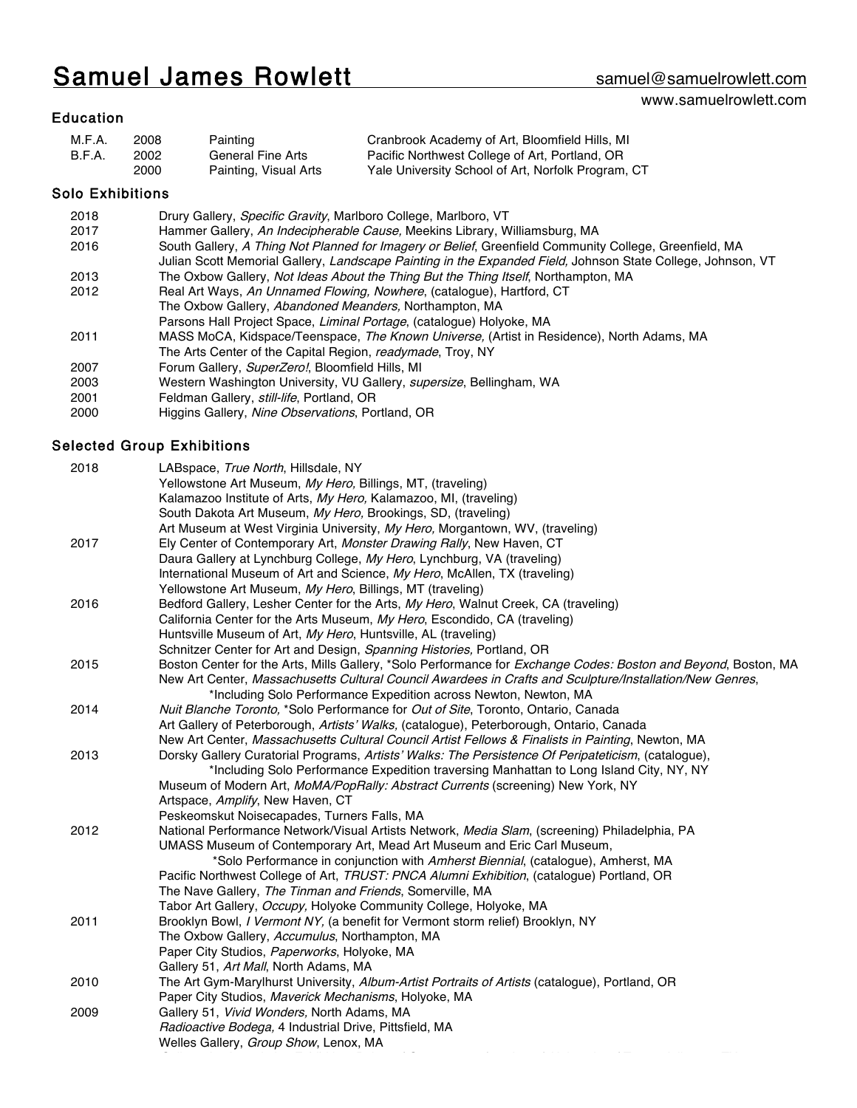# Samuel James Rowlett samuel@samuelrowlett.com

## www.samuelrowlett.com

## Education

| M.F.A. | 2008 | Painting              | Cranbrook Academy of Art, Bloomfield Hills, MI     |
|--------|------|-----------------------|----------------------------------------------------|
| B.F.A. | 2002 | General Fine Arts     | Pacific Northwest College of Art, Portland, OR     |
|        | 2000 | Painting, Visual Arts | Yale University School of Art, Norfolk Program, CT |

## Solo Exhibitions

| 2018  | Drury Gallery, Specific Gravity, Marlboro College, Marlboro, VT                                             |
|-------|-------------------------------------------------------------------------------------------------------------|
| 2017  | Hammer Gallery, An Indecipherable Cause, Meekins Library, Williamsburg, MA                                  |
| 2016  | South Gallery, A Thing Not Planned for Imagery or Belief, Greenfield Community College, Greenfield, MA      |
|       | Julian Scott Memorial Gallery, Landscape Painting in the Expanded Field, Johnson State College, Johnson, VT |
| 2013  | The Oxbow Gallery, Not Ideas About the Thing But the Thing Itself, Northampton, MA                          |
| 2012  | Real Art Ways, An Unnamed Flowing, Nowhere, (catalogue), Hartford, CT                                       |
|       | The Oxbow Gallery, Abandoned Meanders, Northampton, MA                                                      |
|       | Parsons Hall Project Space, Liminal Portage, (catalogue) Holyoke, MA                                        |
| 2011  | MASS MoCA, Kidspace/Teenspace, The Known Universe, (Artist in Residence), North Adams, MA                   |
|       | The Arts Center of the Capital Region, readymade, Troy, NY                                                  |
| 2007  | Forum Gallery, SuperZero!, Bloomfield Hills, MI                                                             |
| 2003  | Western Washington University, VU Gallery, <i>supersize</i> , Bellingham, WA                                |
| 2001  | Feldman Gallery, still-life, Portland, OR                                                                   |
| onno. | Higgine Calleny, Ning Observations, Portland, OP                                                            |

2000 Higgins Gallery, Nine Observations, Portland, OR

## Selected Group Exhibitions

| 2018 | LABspace, True North, Hillsdale, NY                                                                            |
|------|----------------------------------------------------------------------------------------------------------------|
|      | Yellowstone Art Museum, My Hero, Billings, MT, (traveling)                                                     |
|      | Kalamazoo Institute of Arts, My Hero, Kalamazoo, MI, (traveling)                                               |
|      | South Dakota Art Museum, My Hero, Brookings, SD, (traveling)                                                   |
|      | Art Museum at West Virginia University, My Hero, Morgantown, WV, (traveling)                                   |
| 2017 | Ely Center of Contemporary Art, Monster Drawing Rally, New Haven, CT                                           |
|      | Daura Gallery at Lynchburg College, My Hero, Lynchburg, VA (traveling)                                         |
|      | International Museum of Art and Science, My Hero, McAllen, TX (traveling)                                      |
|      | Yellowstone Art Museum, My Hero, Billings, MT (traveling)                                                      |
| 2016 | Bedford Gallery, Lesher Center for the Arts, My Hero, Walnut Creek, CA (traveling)                             |
|      | California Center for the Arts Museum, My Hero, Escondido, CA (traveling)                                      |
|      | Huntsville Museum of Art, My Hero, Huntsville, AL (traveling)                                                  |
|      | Schnitzer Center for Art and Design, Spanning Histories, Portland, OR                                          |
| 2015 | Boston Center for the Arts, Mills Gallery, *Solo Performance for Exchange Codes: Boston and Beyond, Boston, MA |
|      | New Art Center, Massachusetts Cultural Council Awardees in Crafts and Sculpture/Installation/New Genres,       |
|      | *Including Solo Performance Expedition across Newton, Newton, MA                                               |
| 2014 | Nuit Blanche Toronto, *Solo Performance for Out of Site, Toronto, Ontario, Canada                              |
|      | Art Gallery of Peterborough, Artists' Walks, (catalogue), Peterborough, Ontario, Canada                        |
|      | New Art Center, Massachusetts Cultural Council Artist Fellows & Finalists in Painting, Newton, MA              |
| 2013 | Dorsky Gallery Curatorial Programs, Artists' Walks: The Persistence Of Peripateticism, (catalogue),            |
|      | *Including Solo Performance Expedition traversing Manhattan to Long Island City, NY, NY                        |
|      | Museum of Modern Art, MoMA/PopRally: Abstract Currents (screening) New York, NY                                |
|      | Artspace, Amplify, New Haven, CT                                                                               |
|      | Peskeomskut Noisecapades, Turners Falls, MA                                                                    |
| 2012 | National Performance Network/Visual Artists Network, Media Slam, (screening) Philadelphia, PA                  |
|      | UMASS Museum of Contemporary Art, Mead Art Museum and Eric Carl Museum,                                        |
|      | *Solo Performance in conjunction with Amherst Biennial, (catalogue), Amherst, MA                               |
|      | Pacific Northwest College of Art, TRUST: PNCA Alumni Exhibition, (catalogue) Portland, OR                      |
|      | The Nave Gallery, The Tinman and Friends, Somerville, MA                                                       |
|      | Tabor Art Gallery, Occupy, Holyoke Community College, Holyoke, MA                                              |
| 2011 | Brooklyn Bowl, I Vermont NY, (a benefit for Vermont storm relief) Brooklyn, NY                                 |
|      | The Oxbow Gallery, Accumulus, Northampton, MA                                                                  |
|      | Paper City Studios, Paperworks, Holyoke, MA                                                                    |
|      | Gallery 51, Art Mall, North Adams, MA                                                                          |
| 2010 | The Art Gym-Marylhurst University, Album-Artist Portraits of Artists (catalogue), Portland, OR                 |
|      | Paper City Studios, Maverick Mechanisms, Holyoke, MA                                                           |
| 2009 | Gallery 51, Vivid Wonders, North Adams, MA                                                                     |
|      | Radioactive Bodega, 4 Industrial Drive, Pittsfield, MA                                                         |
|      | Welles Gallery, Group Show, Lenox, MA                                                                          |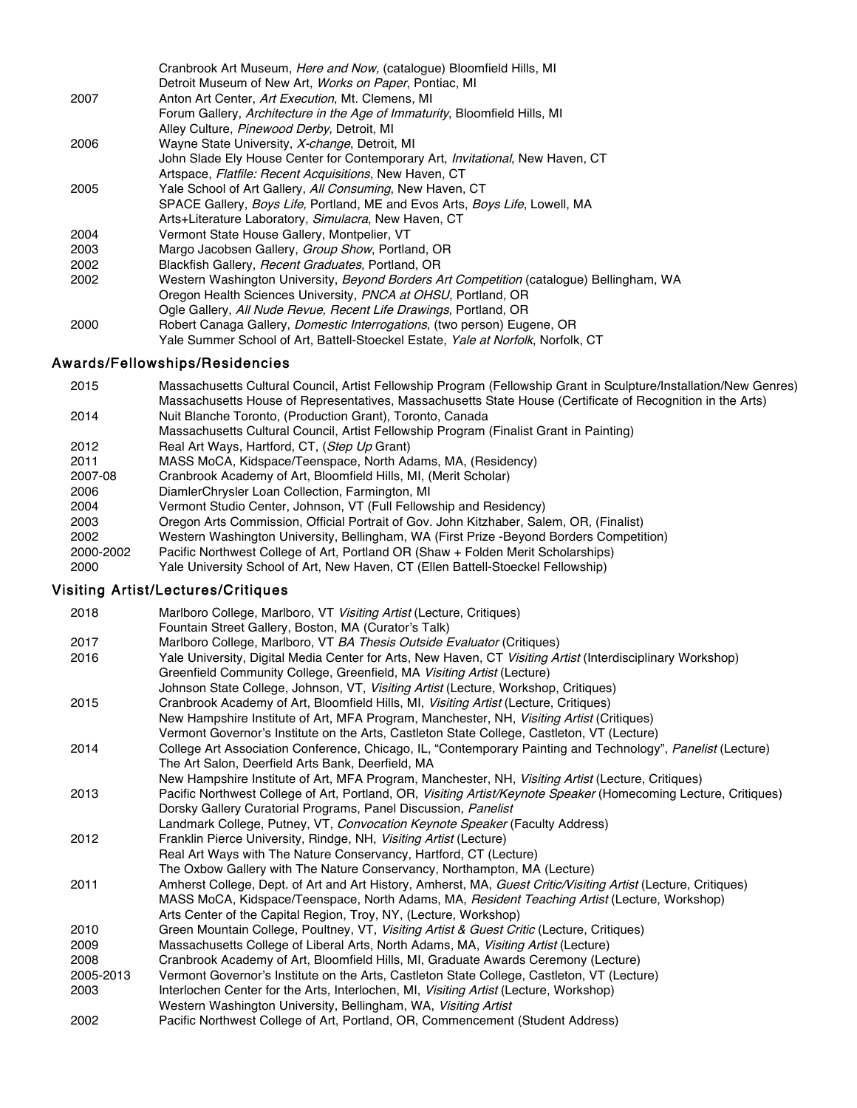| Cranbrook Art Museum, <i>Here and Now</i> , (catalogue) Bloomfield Hills, MI                |
|---------------------------------------------------------------------------------------------|
| Detroit Museum of New Art, Works on Paper, Pontiac, MI                                      |
| Anton Art Center, Art Execution, Mt. Clemens, MI                                            |
| Forum Gallery, Architecture in the Age of Immaturity, Bloomfield Hills, MI                  |
| Alley Culture, Pinewood Derby, Detroit, MI                                                  |
| Wayne State University, X-change, Detroit, MI                                               |
| John Slade Ely House Center for Contemporary Art, <i>Invitational</i> , New Haven, CT       |
| Artspace, Flatfile: Recent Acquisitions, New Haven, CT                                      |
| Yale School of Art Gallery, All Consuming, New Haven, CT                                    |
| SPACE Gallery, <i>Boys Life</i> , Portland, ME and Evos Arts, <i>Boys Life</i> , Lowell, MA |
| Arts+Literature Laboratory, Simulacra, New Haven, CT                                        |
| Vermont State House Gallery, Montpelier, VT                                                 |
| Margo Jacobsen Gallery, Group Show, Portland, OR                                            |
| Blackfish Gallery, Recent Graduates, Portland, OR                                           |
| Western Washington University, Beyond Borders Art Competition (catalogue) Bellingham, WA    |
| Oregon Health Sciences University, PNCA at OHSU, Portland, OR                               |
| Ogle Gallery, All Nude Revue, Recent Life Drawings, Portland, OR                            |
| Robert Canaga Gallery, <i>Domestic Interrogations</i> , (two person) Eugene, OR             |
| Yale Summer School of Art, Battell-Stoeckel Estate, Yale at Norfolk, Norfolk, CT            |
|                                                                                             |

# Awards/Fellowships/Residencies

| 2015      | Massachusetts Cultural Council, Artist Fellowship Program (Fellowship Grant in Sculpture/Installation/New Genres) |
|-----------|-------------------------------------------------------------------------------------------------------------------|
|           | Massachusetts House of Representatives, Massachusetts State House (Certificate of Recognition in the Arts)        |
| 2014      | Nuit Blanche Toronto, (Production Grant), Toronto, Canada                                                         |
|           | Massachusetts Cultural Council, Artist Fellowship Program (Finalist Grant in Painting)                            |
| 2012      | Real Art Ways, Hartford, CT, (Step Up Grant)                                                                      |
| 2011      | MASS MoCA, Kidspace/Teenspace, North Adams, MA, (Residency)                                                       |
| 2007-08   | Cranbrook Academy of Art, Bloomfield Hills, MI, (Merit Scholar)                                                   |
| 2006      | DiamlerChrysler Loan Collection, Farmington, MI                                                                   |
| 2004      | Vermont Studio Center, Johnson, VT (Full Fellowship and Residency)                                                |
| 2003      | Oregon Arts Commission, Official Portrait of Gov. John Kitzhaber, Salem, OR, (Finalist)                           |
| 2002      | Western Washington University, Bellingham, WA (First Prize -Beyond Borders Competition)                           |
| 2000-2002 | Pacific Northwest College of Art, Portland OR (Shaw + Folden Merit Scholarships)                                  |
| 2000      | Yale University School of Art, New Haven, CT (Ellen Battell-Stoeckel Fellowship)                                  |
|           |                                                                                                                   |

# Visiting Artist/Lectures/Critiques

| 2018      | Marlboro College, Marlboro, VT Visiting Artist (Lecture, Critiques)<br>Fountain Street Gallery, Boston, MA (Curator's Talk) |
|-----------|-----------------------------------------------------------------------------------------------------------------------------|
| 2017      | Marlboro College, Marlboro, VT BA Thesis Outside Evaluator (Critiques)                                                      |
| 2016      | Yale University, Digital Media Center for Arts, New Haven, CT Visiting Artist (Interdisciplinary Workshop)                  |
|           | Greenfield Community College, Greenfield, MA Visiting Artist (Lecture)                                                      |
|           | Johnson State College, Johnson, VT, Visiting Artist (Lecture, Workshop, Critiques)                                          |
| 2015      | Cranbrook Academy of Art, Bloomfield Hills, MI, Visiting Artist (Lecture, Critiques)                                        |
|           | New Hampshire Institute of Art, MFA Program, Manchester, NH, Visiting Artist (Critiques)                                    |
|           | Vermont Governor's Institute on the Arts, Castleton State College, Castleton, VT (Lecture)                                  |
| 2014      | College Art Association Conference, Chicago, IL, "Contemporary Painting and Technology", Panelist (Lecture)                 |
|           | The Art Salon, Deerfield Arts Bank, Deerfield, MA                                                                           |
|           | New Hampshire Institute of Art, MFA Program, Manchester, NH, Visiting Artist (Lecture, Critiques)                           |
| 2013      | Pacific Northwest College of Art, Portland, OR, Visiting Artist/Keynote Speaker (Homecoming Lecture, Critiques)             |
|           | Dorsky Gallery Curatorial Programs, Panel Discussion, Panelist                                                              |
|           | Landmark College, Putney, VT, Convocation Keynote Speaker (Faculty Address)                                                 |
| 2012      | Franklin Pierce University, Rindge, NH, Visiting Artist (Lecture)                                                           |
|           | Real Art Ways with The Nature Conservancy, Hartford, CT (Lecture)                                                           |
|           | The Oxbow Gallery with The Nature Conservancy, Northampton, MA (Lecture)                                                    |
| 2011      | Amherst College, Dept. of Art and Art History, Amherst, MA, Guest Critic/Visiting Artist (Lecture, Critiques)               |
|           | MASS MoCA, Kidspace/Teenspace, North Adams, MA, <i>Resident Teaching Artist</i> (Lecture, Workshop)                         |
|           | Arts Center of the Capital Region, Troy, NY, (Lecture, Workshop)                                                            |
| 2010      | Green Mountain College, Poultney, VT, Visiting Artist & Guest Critic (Lecture, Critiques)                                   |
| 2009      | Massachusetts College of Liberal Arts, North Adams, MA, Visiting Artist (Lecture)                                           |
| 2008      | Cranbrook Academy of Art, Bloomfield Hills, MI, Graduate Awards Ceremony (Lecture)                                          |
| 2005-2013 | Vermont Governor's Institute on the Arts, Castleton State College, Castleton, VT (Lecture)                                  |
| 2003      | Interlochen Center for the Arts, Interlochen, MI, Visiting Artist (Lecture, Workshop)                                       |
|           | Western Washington University, Bellingham, WA, Visiting Artist                                                              |
| 2002      | Pacific Northwest College of Art, Portland, OR, Commencement (Student Address)                                              |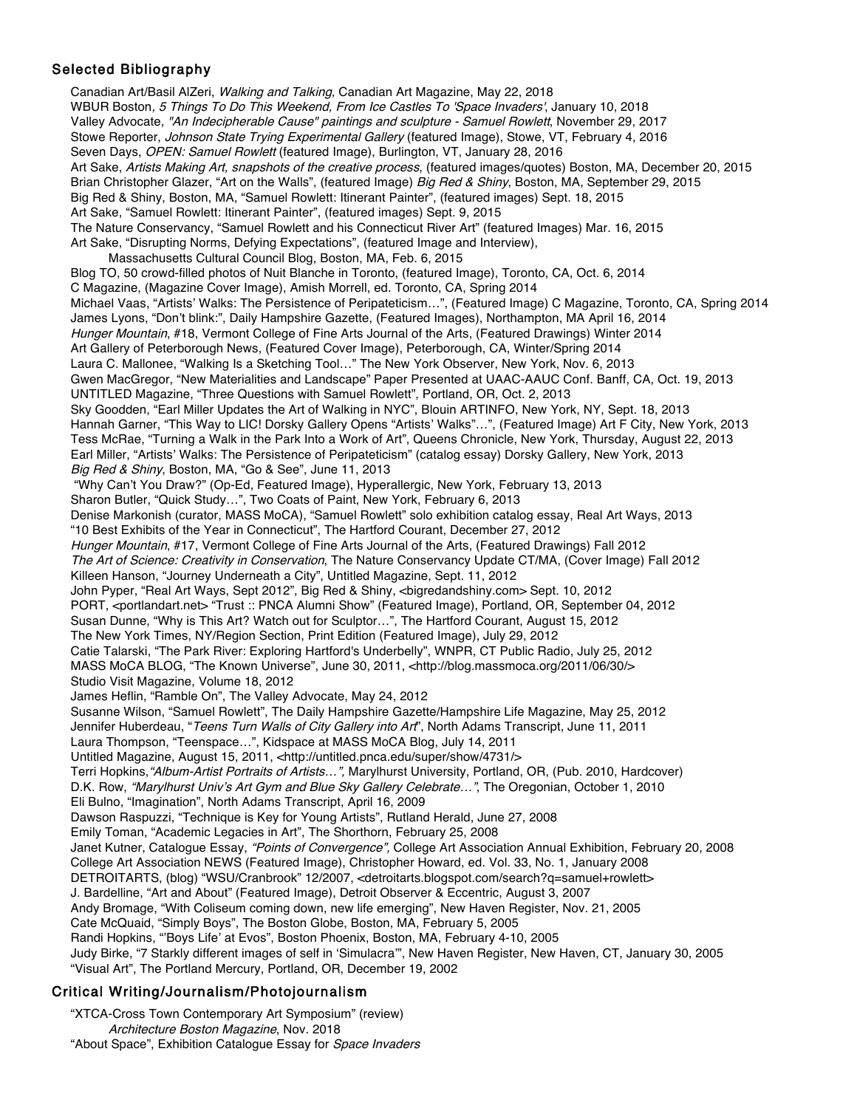### Selected Bibliography

Canadian Art/Basil AlZeri, Walking and Talking, Canadian Art Magazine, May 22, 2018 WBUR Boston, 5 Things To Do This Weekend, From Ice Castles To 'Space Invaders', January 10, 2018 Valley Advocate, "An Indecipherable Cause" paintings and sculpture - Samuel Rowlett, November 29, 2017 Stowe Reporter, Johnson State Trying Experimental Gallery (featured Image), Stowe, VT, February 4, 2016 Seven Days, OPEN: Samuel Rowlett (featured Image), Burlington, VT, January 28, 2016 Art Sake, Artists Making Art, snapshots of the creative process, (featured images/quotes) Boston, MA, December 20, 2015 Brian Christopher Glazer, "Art on the Walls", (featured Image) Big Red & Shiny, Boston, MA, September 29, 2015 Big Red & Shiny, Boston, MA, "Samuel Rowlett: Itinerant Painter", (featured images) Sept. 18, 2015 Art Sake, "Samuel Rowlett: Itinerant Painter", (featured images) Sept. 9, 2015 The Nature Conservancy, "Samuel Rowlett and his Connecticut River Art" (featured Images) Mar. 16, 2015 Art Sake, "Disrupting Norms, Defying Expectations", (featured Image and Interview), Massachusetts Cultural Council Blog, Boston, MA, Feb. 6, 2015 Blog TO, 50 crowd-filled photos of Nuit Blanche in Toronto, (featured Image), Toronto, CA, Oct. 6, 2014 C Magazine, (Magazine Cover Image), Amish Morrell, ed. Toronto, CA, Spring 2014 Michael Vaas, "Artists' Walks: The Persistence of Peripateticism…", (Featured Image) C Magazine, Toronto, CA, Spring 2014 James Lyons, "Don't blink:", Daily Hampshire Gazette, (Featured Images), Northampton, MA April 16, 2014 Hunger Mountain, #18, Vermont College of Fine Arts Journal of the Arts, (Featured Drawings) Winter 2014 Art Gallery of Peterborough News, (Featured Cover Image), Peterborough, CA, Winter/Spring 2014 Laura C. Mallonee, "Walking Is a Sketching Tool…" The New York Observer, New York, Nov. 6, 2013 Gwen MacGregor, "New Materialities and Landscape" Paper Presented at UAAC-AAUC Conf. Banff, CA, Oct. 19, 2013 UNTITLED Magazine, "Three Questions with Samuel Rowlett", Portland, OR, Oct. 2, 2013 Sky Goodden, "Earl Miller Updates the Art of Walking in NYC", Blouin ARTINFO, New York, NY, Sept. 18, 2013 Hannah Garner, "This Way to LIC! Dorsky Gallery Opens "Artists' Walks"…", (Featured Image) Art F City, New York, 2013 Tess McRae, "Turning a Walk in the Park Into a Work of Art", Queens Chronicle, New York, Thursday, August 22, 2013 Earl Miller, "Artists' Walks: The Persistence of Peripateticism" (catalog essay) Dorsky Gallery, New York, 2013 Big Red & Shiny, Boston, MA, "Go & See", June 11, 2013 "Why Can't You Draw?" (Op-Ed, Featured Image), Hyperallergic, New York, February 13, 2013 Sharon Butler, "Quick Study…", Two Coats of Paint, New York, February 6, 2013 Denise Markonish (curator, MASS MoCA), "Samuel Rowlett" solo exhibition catalog essay, Real Art Ways, 2013 "10 Best Exhibits of the Year in Connecticut", The Hartford Courant, December 27, 2012 Hunger Mountain, #17, Vermont College of Fine Arts Journal of the Arts, (Featured Drawings) Fall 2012 The Art of Science: Creativity in Conservation, The Nature Conservancy Update CT/MA, (Cover Image) Fall 2012 Killeen Hanson, "Journey Underneath a City", Untitled Magazine, Sept. 11, 2012 John Pyper, "Real Art Ways, Sept 2012", Big Red & Shiny, <bigredandshiny.com> Sept. 10, 2012 PORT, <portlandart.net> "Trust :: PNCA Alumni Show" (Featured Image), Portland, OR, September 04, 2012 Susan Dunne, "Why is This Art? Watch out for Sculptor…", The Hartford Courant, August 15, 2012 The New York Times, NY/Region Section, Print Edition (Featured Image), July 29, 2012 Catie Talarski, "The Park River: Exploring Hartford's Underbelly", WNPR, CT Public Radio, July 25, 2012 MASS MoCA BLOG, "The Known Universe", June 30, 2011, <http://blog.massmoca.org/2011/06/30/> Studio Visit Magazine, Volume 18, 2012 James Heflin, "Ramble On", The Valley Advocate, May 24, 2012 Susanne Wilson, "Samuel Rowlett", The Daily Hampshire Gazette/Hampshire Life Magazine, May 25, 2012 Jennifer Huberdeau, "Teens Turn Walls of City Gallery into Art", North Adams Transcript, June 11, 2011 Laura Thompson, "Teenspace…", Kidspace at MASS MoCA Blog, July 14, 2011 Untitled Magazine, August 15, 2011, <http://untitled.pnca.edu/super/show/4731/> Terri Hopkins,"Album-Artist Portraits of Artists…", Marylhurst University, Portland, OR, (Pub. 2010, Hardcover) D.K. Row, "Marylhurst Univ's Art Gym and Blue Sky Gallery Celebrate...", The Oregonian, October 1, 2010 Eli Bulno, "Imagination", North Adams Transcript, April 16, 2009 Dawson Raspuzzi, "Technique is Key for Young Artists", Rutland Herald, June 27, 2008 Emily Toman, "Academic Legacies in Art", The Shorthorn, February 25, 2008 Janet Kutner, Catalogue Essay, "Points of Convergence", College Art Association Annual Exhibition, February 20, 2008 College Art Association NEWS (Featured Image), Christopher Howard, ed. Vol. 33, No. 1, January 2008 DETROITARTS, (blog) "WSU/Cranbrook" 12/2007, <detroitarts.blogspot.com/search?q=samuel+rowlett> J. Bardelline, "Art and About" (Featured Image), Detroit Observer & Eccentric, August 3, 2007 Andy Bromage, "With Coliseum coming down, new life emerging", New Haven Register, Nov. 21, 2005 Cate McQuaid, "Simply Boys", The Boston Globe, Boston, MA, February 5, 2005 Randi Hopkins, "'Boys Life' at Evos", Boston Phoenix, Boston, MA, February 4-10, 2005 Judy Birke, "7 Starkly different images of self in 'Simulacra'", New Haven Register, New Haven, CT, January 30, 2005 "Visual Art", The Portland Mercury, Portland, OR, December 19, 2002

### Critical Writing/Journalism/Photojournalism

"XTCA-Cross Town Contemporary Art Symposium" (review) Architecture Boston Magazine, Nov. 2018 "About Space", Exhibition Catalogue Essay for Space Invaders